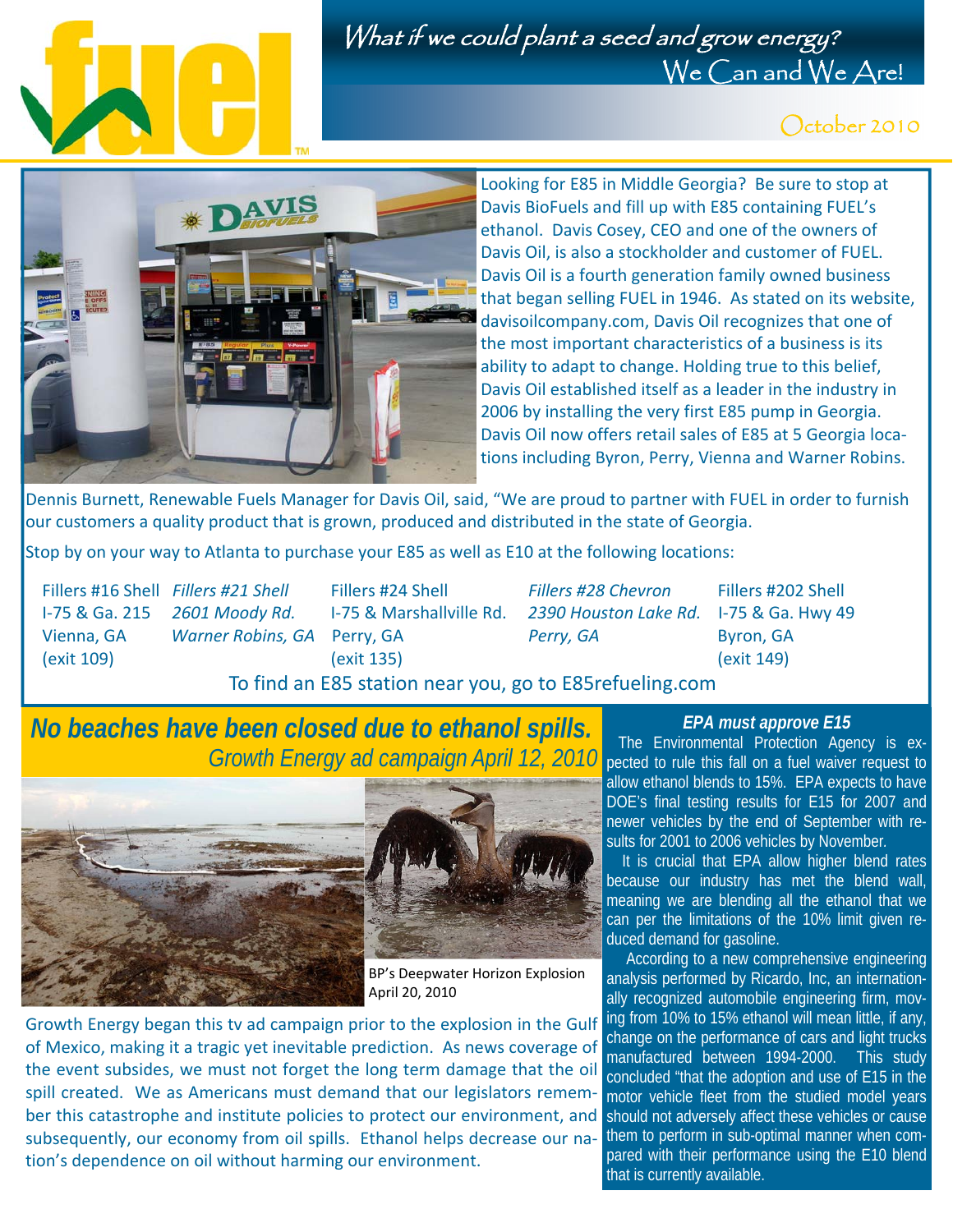

## What if we could plant a seed and grow energy? We Can and We Are!

## October 2010



Looking for E85 in Middle Georgia? Be sure to stop at Davis BioFuels and fill up with E85 containing FUEL's ethanol. Davis Cosey, CEO and one of the owners of Davis Oil, is also a stockholder and customer of FUEL. Davis Oil is a fourth generation family owned business that began selling FUEL in 1946. As stated on its website, davisoilcompany.com, Davis Oil recognizes that one of the most important characteristics of a business is its ability to adapt to change. Holding true to this belief, Davis Oil established itself as a leader in the industry in 2006 by installing the very first E85 pump in Georgia. Davis Oil now offers retail sales of E85 at 5 Georgia loca‐ tions including Byron, Perry, Vienna and Warner Robins.

Dennis Burnett, Renewable Fuels Manager for Davis Oil, said, "We are proud to partner with FUEL in order to furnish our customers a quality product that is grown, produced and distributed in the state of Georgia.

Stop by on your way to Atlanta to purchase your E85 as well as E10 at the following locations:

 I‐75 & Ga. 215 *2601 Moody Rd.* I‐75 & Marshallville Rd. *2390 Houston Lake Rd.* I‐75 & Ga. Hwy 49 Vienna, GA  *Warner Robins, GA* Perry, GA *Perry, GA* Byron, GA (exit 109) (exit 135) (exit 149)

Fillers #16 Shell *Fillers #21 Shell* Fillers #24 Shell *Fillers #28 Chevron* Fillers #202 Shell

To find an E85 station near you, go to E85refueling.com

## *No beaches have been closed due to ethanol spills. Growth Energy ad campaign April 12, 2010* pected to rule this fall on a fuel waiver request to





BP's Deepwater Horizon Explosion April 20, 2010

Growth Energy began this tv ad campaign prior to the explosion in the Gulf of Mexico, making it a tragic yet inevitable prediction. As news coverage of the event subsides, we must not forget the long term damage that the oil spill created. We as Americans must demand that our legislators remember this catastrophe and institute policies to protect our environment, and subsequently, our economy from oil spills. Ethanol helps decrease our nation's dependence on oil without harming our environment.

#### *EPA must approve E15*

 The Environmental Protection Agency is exallow ethanol blends to 15%. EPA expects to have DOE's final testing results for E15 for 2007 and newer vehicles by the end of September with results for 2001 to 2006 vehicles by November*.* 

It is crucial that EPA allow higher blend rates because our industry has met the blend wall, meaning we are blending all the ethanol that we can per the limitations of the 10% limit given reduced demand for gasoline.

 According to a new comprehensive engineering analysis performed by Ricardo, Inc, an internationally recognized automobile engineering firm, moving from 10% to 15% ethanol will mean little, if any, change on the performance of cars and light trucks manufactured between 1994-2000. This study concluded "that the adoption and use of E15 in the motor vehicle fleet from the studied model years should not adversely affect these vehicles or cause them to perform in sub-optimal manner when compared with their performance using the E10 blend that is currently available.